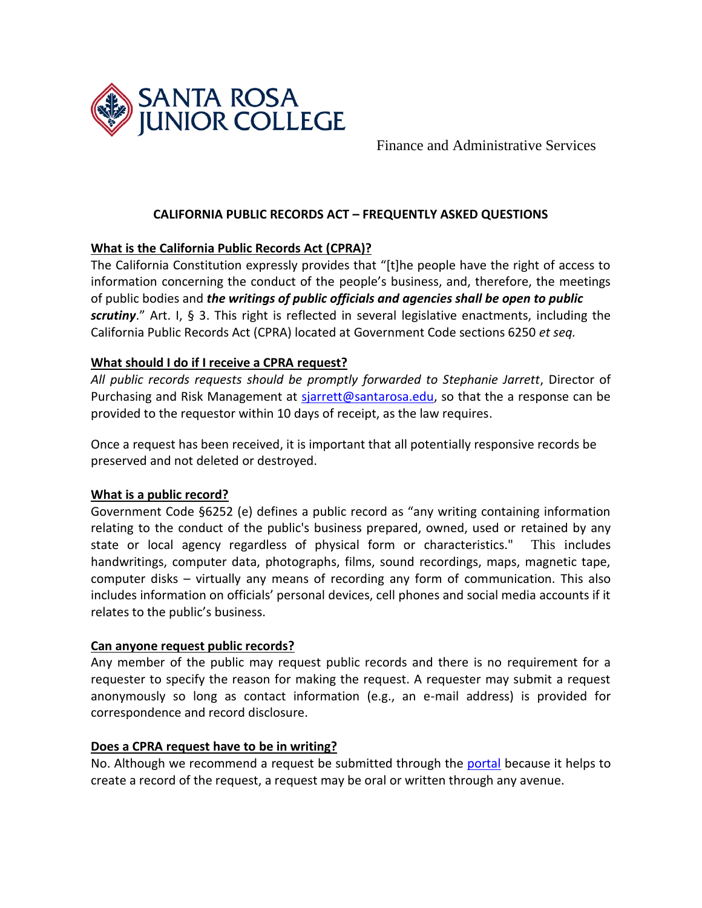

Finance and Administrative Services

# **CALIFORNIA PUBLIC RECORDS ACT – FREQUENTLY ASKED QUESTIONS**

# **What is the California Public Records Act (CPRA)?**

The California Constitution expressly provides that "[t]he people have the right of access to information concerning the conduct of the people's business, and, therefore, the meetings of public bodies and *the writings of public officials and agencies shall be open to public scrutiny*." Art. I, § 3. This right is reflected in several legislative enactments, including the California Public Records Act (CPRA) located at Government Code sections 6250 *et seq.*

# **What should I do if I receive a CPRA request?**

*All public records requests should be promptly forwarded to Stephanie Jarrett*, Director of Purchasing and Risk Management at [sjarrett@santarosa.edu,](mailto:sjarrett@santarosa.edu) so that the a response can be provided to the requestor within 10 days of receipt, as the law requires.

Once a request has been received, it is important that all potentially responsive records be preserved and not deleted or destroyed.

#### **What is a public record?**

Government Code §6252 (e) defines a public record as "any writing containing information relating to the conduct of the public's business prepared, owned, used or retained by any state or local agency regardless of physical form or characteristics." This includes handwritings, computer data, photographs, films, sound recordings, maps, magnetic tape, computer disks – virtually any means of recording any form of communication. This also includes information on officials' personal devices, cell phones and social media accounts if it relates to the public's business.

#### **Can anyone request public records?**

Any member of the public may request public records and there is no requirement for a requester to specify the reason for making the request. A requester may submit a request anonymously so long as contact information (e.g., an e-mail address) is provided for correspondence and record disclosure.

#### **Does a CPRA request have to be in writing?**

No. Although we recommend a request be submitted through the [portal](https://sonoma-county-junior-college.nextrequest.com/) because it helps to create a record of the request, a request may be oral or written through any avenue.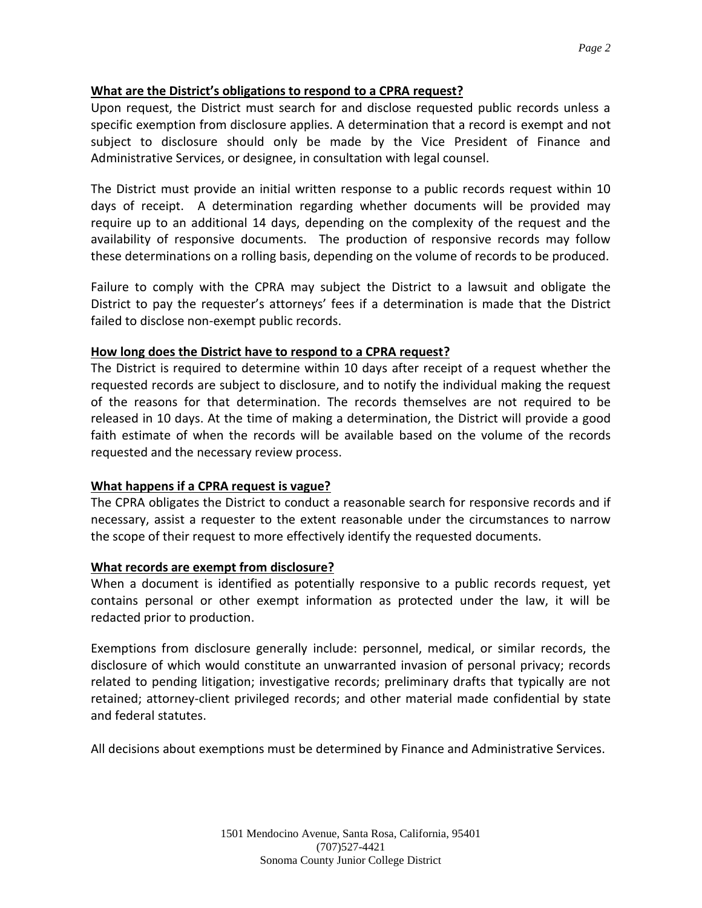# **What are the District's obligations to respond to a CPRA request?**

Upon request, the District must search for and disclose requested public records unless a specific exemption from disclosure applies. A determination that a record is exempt and not subject to disclosure should only be made by the Vice President of Finance and Administrative Services, or designee, in consultation with legal counsel.

The District must provide an initial written response to a public records request within 10 days of receipt. A determination regarding whether documents will be provided may require up to an additional 14 days, depending on the complexity of the request and the availability of responsive documents. The production of responsive records may follow these determinations on a rolling basis, depending on the volume of records to be produced.

Failure to comply with the CPRA may subject the District to a lawsuit and obligate the District to pay the requester's attorneys' fees if a determination is made that the District failed to disclose non-exempt public records.

#### **How long does the District have to respond to a CPRA request?**

The District is required to determine within 10 days after receipt of a request whether the requested records are subject to disclosure, and to notify the individual making the request of the reasons for that determination. The records themselves are not required to be released in 10 days. At the time of making a determination, the District will provide a good faith estimate of when the records will be available based on the volume of the records requested and the necessary review process.

#### **What happens if a CPRA request is vague?**

The CPRA obligates the District to conduct a reasonable search for responsive records and if necessary, assist a requester to the extent reasonable under the circumstances to narrow the scope of their request to more effectively identify the requested documents.

#### **What records are exempt from disclosure?**

When a document is identified as potentially responsive to a public records request, yet contains personal or other exempt information as protected under the law, it will be redacted prior to production.

Exemptions from disclosure generally include: personnel, medical, or similar records, the disclosure of which would constitute an unwarranted invasion of personal privacy; records related to pending litigation; investigative records; preliminary drafts that typically are not retained; attorney-client privileged records; and other material made confidential by state and federal statutes.

All decisions about exemptions must be determined by Finance and Administrative Services.